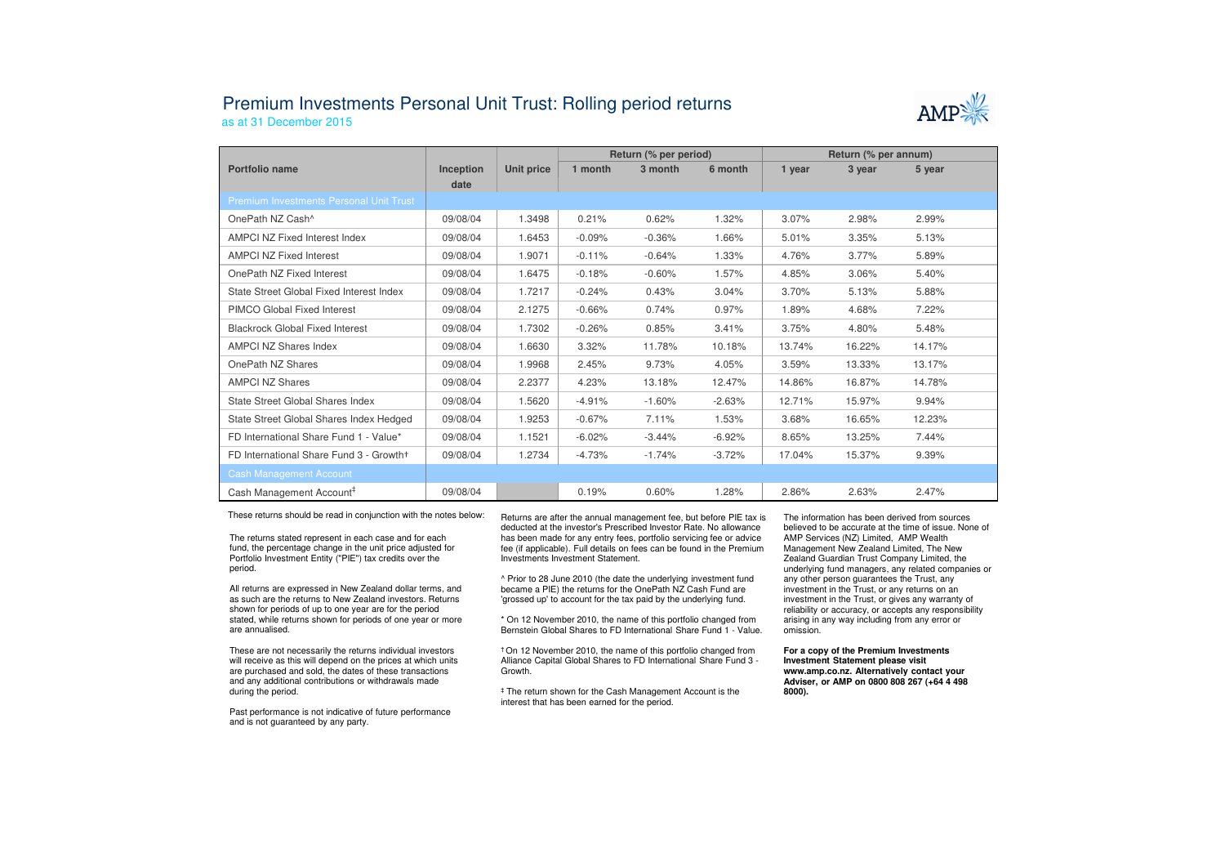## Premium Investments Personal Unit Trust: Rolling period returns

as at 31 December 2015



|                                                |                   |            | Return (% per period) |          |          | Return (% per annum) |        |        |
|------------------------------------------------|-------------------|------------|-----------------------|----------|----------|----------------------|--------|--------|
| Portfolio name                                 | Inception<br>date | Unit price | 1 month               | 3 month  | 6 month  | 1 year               | 3 year | 5 year |
| <b>Premium Investments Personal Unit Trust</b> |                   |            |                       |          |          |                      |        |        |
| OnePath NZ Cash <sup>^</sup>                   | 09/08/04          | 1.3498     | 0.21%                 | 0.62%    | 1.32%    | 3.07%                | 2.98%  | 2.99%  |
| <b>AMPCI NZ Fixed Interest Index</b>           | 09/08/04          | 1.6453     | $-0.09%$              | $-0.36%$ | 1.66%    | 5.01%                | 3.35%  | 5.13%  |
| <b>AMPCI NZ Fixed Interest</b>                 | 09/08/04          | 1.9071     | $-0.11%$              | $-0.64%$ | 1.33%    | 4.76%                | 3.77%  | 5.89%  |
| OnePath NZ Fixed Interest                      | 09/08/04          | 1.6475     | $-0.18%$              | $-0.60%$ | 1.57%    | 4.85%                | 3.06%  | 5.40%  |
| State Street Global Fixed Interest Index       | 09/08/04          | 1.7217     | $-0.24%$              | 0.43%    | 3.04%    | 3.70%                | 5.13%  | 5.88%  |
| PIMCO Global Fixed Interest                    | 09/08/04          | 2.1275     | $-0.66%$              | 0.74%    | 0.97%    | 1.89%                | 4.68%  | 7.22%  |
| <b>Blackrock Global Fixed Interest</b>         | 09/08/04          | 1.7302     | $-0.26%$              | 0.85%    | 3.41%    | 3.75%                | 4.80%  | 5.48%  |
| <b>AMPCI NZ Shares Index</b>                   | 09/08/04          | 1.6630     | 3.32%                 | 11.78%   | 10.18%   | 13.74%               | 16.22% | 14.17% |
| OnePath NZ Shares                              | 09/08/04          | 1.9968     | 2.45%                 | 9.73%    | 4.05%    | 3.59%                | 13.33% | 13.17% |
| <b>AMPCI NZ Shares</b>                         | 09/08/04          | 2.2377     | 4.23%                 | 13.18%   | 12.47%   | 14.86%               | 16.87% | 14.78% |
| State Street Global Shares Index               | 09/08/04          | 1.5620     | $-4.91%$              | $-1.60%$ | $-2.63%$ | 12.71%               | 15.97% | 9.94%  |
| State Street Global Shares Index Hedged        | 09/08/04          | 1.9253     | $-0.67%$              | 7.11%    | 1.53%    | 3.68%                | 16.65% | 12.23% |
| FD International Share Fund 1 - Value*         | 09/08/04          | 1.1521     | $-6.02%$              | $-3.44%$ | $-6.92%$ | 8.65%                | 13.25% | 7.44%  |
| FD International Share Fund 3 - Growth+        | 09/08/04          | 1.2734     | $-4.73%$              | $-1.74%$ | $-3.72%$ | 17.04%               | 15.37% | 9.39%  |
| <b>Cash Management Account</b>                 |                   |            |                       |          |          |                      |        |        |
| Cash Management Account <sup>#</sup>           | 09/08/04          |            | 0.19%                 | 0.60%    | 1.28%    | 2.86%                | 2.63%  | 2.47%  |

These returns should be read in conjunction with the notes below:

The returns stated represent in each case and for each fund, the percentage change in the unit price adjusted for Portfolio Investment Entity ("PIE") tax credits over the period.

All returns are expressed in New Zealand dollar terms, and as such are the returns to New Zealand investors. Returns shown for periods of up to one year are for the period stated, while returns shown for periods of one year or more are annualised.

These are not necessarily the returns individual investors will receive as this will depend on the prices at which units are purchased and sold, the dates of these transactions and any additional contributions or withdrawals made during the period.

Past performance is not indicative of future performance and is not guaranteed by any party.

 Returns are after the annual management fee, but before PIE tax is deducted at the investor's Prescribed Investor Rate. No allowance has been made for any entry fees, portfolio servicing fee or advice fee (if applicable). Full details on fees can be found in the Premium Investments Investment Statement.

^ Prior to 28 June 2010 (the date the underlying investment fund became a PIE) the returns for the OnePath NZ Cash Fund are 'grossed up' to account for the tax paid by the underlying fund.

\* On 12 November 2010, the name of this portfolio changed from Bernstein Global Shares to FD International Share Fund 1 - Value.

† On 12 November 2010, the name of this portfolio changed from Alliance Capital Global Shares to FD International Share Fund 3 -Growth.

‡ The return shown for the Cash Management Account is the interest that has been earned for the period.

The information has been derived from sources believed to be accurate at the time of issue. None of AMP Services (NZ) Limited, AMP Wealth Management New Zealand Limited, The New Zealand Guardian Trust Company Limited, the underlying fund managers, any related companies or any other person guarantees the Trust, any investment in the Trust, or any returns on an investment in the Trust, or gives any warranty of reliability or accuracy, or accepts any responsibility arising in any way including from any error or omission.

**For a copy of the Premium Investments Investment Statement please visit www.amp.co.nz. Alternatively contact your Adviser, or AMP on 0800 808 267 (+64 4 498 8000).**